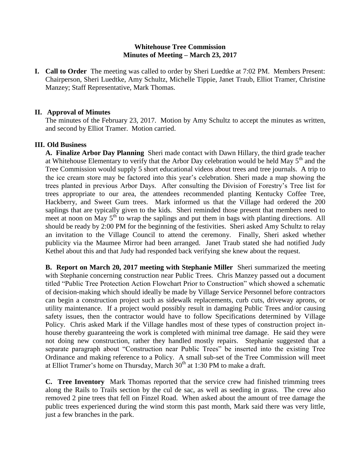## **Whitehouse Tree Commission Minutes of Meeting – March 23, 2017**

**I. Call to Order** The meeting was called to order by Sheri Luedtke at 7:02 PM. Members Present: Chairperson, Sheri Luedtke, Amy Schultz, Michelle Tippie, Janet Traub, Elliot Tramer, Christine Manzey; Staff Representative, Mark Thomas.

#### **II. Approval of Minutes**

The minutes of the February 23, 2017. Motion by Amy Schultz to accept the minutes as written, and second by Elliot Tramer. Motion carried.

### **III. Old Business**

**A. Finalize Arbor Day Planning** Sheri made contact with Dawn Hillary, the third grade teacher at Whitehouse Elementary to verify that the Arbor Day celebration would be held May 5<sup>th</sup> and the Tree Commission would supply 5 short educational videos about trees and tree journals. A trip to the ice cream store may be factored into this year's celebration. Sheri made a map showing the trees planted in previous Arbor Days. After consulting the Division of Forestry's Tree list for trees appropriate to our area, the attendees recommended planting Kentucky Coffee Tree, Hackberry, and Sweet Gum trees. Mark informed us that the Village had ordered the 200 saplings that are typically given to the kids. Sheri reminded those present that members need to meet at noon on May 5<sup>th</sup> to wrap the saplings and put them in bags with planting directions. All should be ready by 2:00 PM for the beginning of the festivities. Sheri asked Amy Schultz to relay an invitation to the Village Council to attend the ceremony. Finally, Sheri asked whether publicity via the Maumee Mirror had been arranged. Janet Traub stated she had notified Judy Kethel about this and that Judy had responded back verifying she knew about the request.

**B. Report on March 20, 2017 meeting with Stephanie Miller** Sheri summarized the meeting with Stephanie concerning construction near Public Trees. Chris Manzey passed out a document titled "Public Tree Protection Action Flowchart Prior to Construction" which showed a schematic of decision-making which should ideally be made by Village Service Personnel before contractors can begin a construction project such as sidewalk replacements, curb cuts, driveway aprons, or utility maintenance. If a project would possibly result in damaging Public Trees and/or causing safety issues, then the contractor would have to follow Specifications determined by Village Policy. Chris asked Mark if the Village handles most of these types of construction project inhouse thereby guaranteeing the work is completed with minimal tree damage. He said they were not doing new construction, rather they handled mostly repairs. Stephanie suggested that a separate paragraph about "Construction near Public Trees" be inserted into the existing Tree Ordinance and making reference to a Policy. A small sub-set of the Tree Commission will meet at Elliot Tramer's home on Thursday, March  $30<sup>th</sup>$  at 1:30 PM to make a draft.

**C. Tree Inventory** Mark Thomas reported that the service crew had finished trimming trees along the Rails to Trails section by the cul de sac, as well as seeding in grass. The crew also removed 2 pine trees that fell on Finzel Road. When asked about the amount of tree damage the public trees experienced during the wind storm this past month, Mark said there was very little, just a few branches in the park.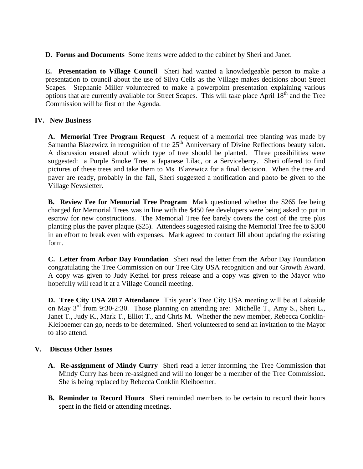**D. Forms and Documents** Some items were added to the cabinet by Sheri and Janet.

**E. Presentation to Village Council** Sheri had wanted a knowledgeable person to make a presentation to council about the use of Silva Cells as the Village makes decisions about Street Scapes. Stephanie Miller volunteered to make a powerpoint presentation explaining various options that are currently available for Street Scapes. This will take place April 18<sup>th</sup> and the Tree Commission will be first on the Agenda.

# **IV. New Business**

**A. Memorial Tree Program Request** A request of a memorial tree planting was made by Samantha Blazewicz in recognition of the  $25<sup>th</sup>$  Anniversary of Divine Reflections beauty salon. A discussion ensued about which type of tree should be planted. Three possibilities were suggested: a Purple Smoke Tree, a Japanese Lilac, or a Serviceberry. Sheri offered to find pictures of these trees and take them to Ms. Blazewicz for a final decision. When the tree and paver are ready, probably in the fall, Sheri suggested a notification and photo be given to the Village Newsletter.

**B. Review Fee for Memorial Tree Program** Mark questioned whether the \$265 fee being charged for Memorial Trees was in line with the \$450 fee developers were being asked to put in escrow for new constructions. The Memorial Tree fee barely covers the cost of the tree plus planting plus the paver plaque (\$25). Attendees suggested raising the Memorial Tree fee to \$300 in an effort to break even with expenses. Mark agreed to contact Jill about updating the existing form.

**C. Letter from Arbor Day Foundation** Sheri read the letter from the Arbor Day Foundation congratulating the Tree Commission on our Tree City USA recognition and our Growth Award. A copy was given to Judy Kethel for press release and a copy was given to the Mayor who hopefully will read it at a Village Council meeting.

**D. Tree City USA 2017 Attendance** This year's Tree City USA meeting will be at Lakeside on May  $3<sup>rd</sup>$  from 9:30-2:30. Those planning on attending are: Michelle T., Amy S., Sheri L., Janet T., Judy K., Mark T., Elliot T., and Chris M. Whether the new member, Rebecca Conklin-Kleiboemer can go, needs to be determined. Sheri volunteered to send an invitation to the Mayor to also attend.

## **V. Discuss Other Issues**

- **A. Re-assignment of Mindy Curry** Sheri read a letter informing the Tree Commission that Mindy Curry has been re-assigned and will no longer be a member of the Tree Commission. She is being replaced by Rebecca Conklin Kleiboemer.
- **B. Reminder to Record Hours** Sheri reminded members to be certain to record their hours spent in the field or attending meetings.